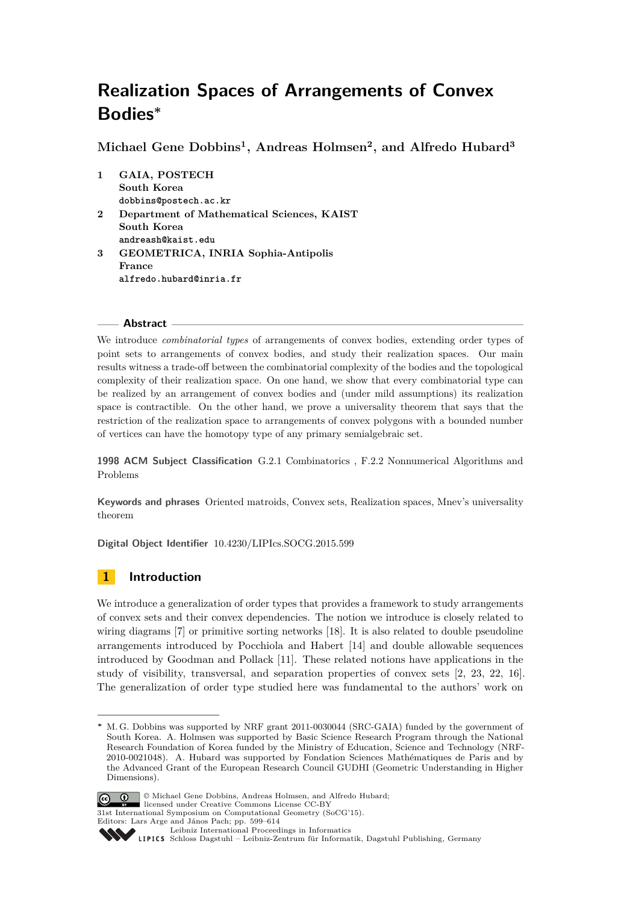**Michael Gene Dobbins<sup>1</sup> , Andreas Holmsen<sup>2</sup> , and Alfredo Hubard<sup>3</sup>**

**1 GAIA, POSTECH South Korea dobbins@postech.ac.kr 2 Department of Mathematical Sciences, KAIST South Korea andreash@kaist.edu 3 GEOMETRICA, INRIA Sophia-Antipolis France alfredo.hubard@inria.fr**

### **Abstract**

We introduce *combinatorial types* of arrangements of convex bodies, extending order types of point sets to arrangements of convex bodies, and study their realization spaces. Our main results witness a trade-off between the combinatorial complexity of the bodies and the topological complexity of their realization space. On one hand, we show that every combinatorial type can be realized by an arrangement of convex bodies and (under mild assumptions) its realization space is contractible. On the other hand, we prove a universality theorem that says that the restriction of the realization space to arrangements of convex polygons with a bounded number of vertices can have the homotopy type of any primary semialgebraic set.

**1998 ACM Subject Classification** G.2.1 Combinatorics , F.2.2 Nonnumerical Algorithms and Problems

**Keywords and phrases** Oriented matroids, Convex sets, Realization spaces, Mnev's universality theorem

**Digital Object Identifier** [10.4230/LIPIcs.SOCG.2015.599](http://dx.doi.org/10.4230/LIPIcs.SOCG.2015.599)

# **1 Introduction**

We introduce a generalization of order types that provides a framework to study arrangements of convex sets and their convex dependencies. The notion we introduce is closely related to wiring diagrams [\[7\]](#page-14-0) or primitive sorting networks [\[18\]](#page-14-1). It is also related to double pseudoline arrangements introduced by Pocchiola and Habert [\[14\]](#page-14-2) and double allowable sequences introduced by Goodman and Pollack [\[11\]](#page-14-3). These related notions have applications in the study of visibility, transversal, and separation properties of convex sets [\[2,](#page-13-0) [23,](#page-14-4) [22,](#page-14-5) [16\]](#page-14-6). The generalization of order type studied here was fundamental to the authors' work on

**<sup>∗</sup>** M. G. Dobbins was supported by NRF grant 2011-0030044 (SRC-GAIA) funded by the government of South Korea. A. Holmsen was supported by Basic Science Research Program through the National Research Foundation of Korea funded by the Ministry of Education, Science and Technology (NRF-2010-0021048). A. Hubard was supported by Fondation Sciences Mathématiques de Paris and by the Advanced Grant of the European Research Council GUDHI (Geometric Understanding in Higher Dimensions).



© Michael Gene Dobbins, Andreas Holmsen, and Alfredo Hubard; licensed under Creative Commons License CC-BY

31st International Symposium on Computational Geometry (SoCG'15).

[Leibniz International Proceedings in Informatics](http://www.dagstuhl.de/lipics/) Leibniz international Froceedings in missimosischer Magstuhl Publishing, Germany<br>LIPICS [Schloss Dagstuhl – Leibniz-Zentrum für Informatik, Dagstuhl Publishing, Germany](http://www.dagstuhl.de)

Editors: Lars Arge and János Pach; pp. 599[–614](#page-15-0)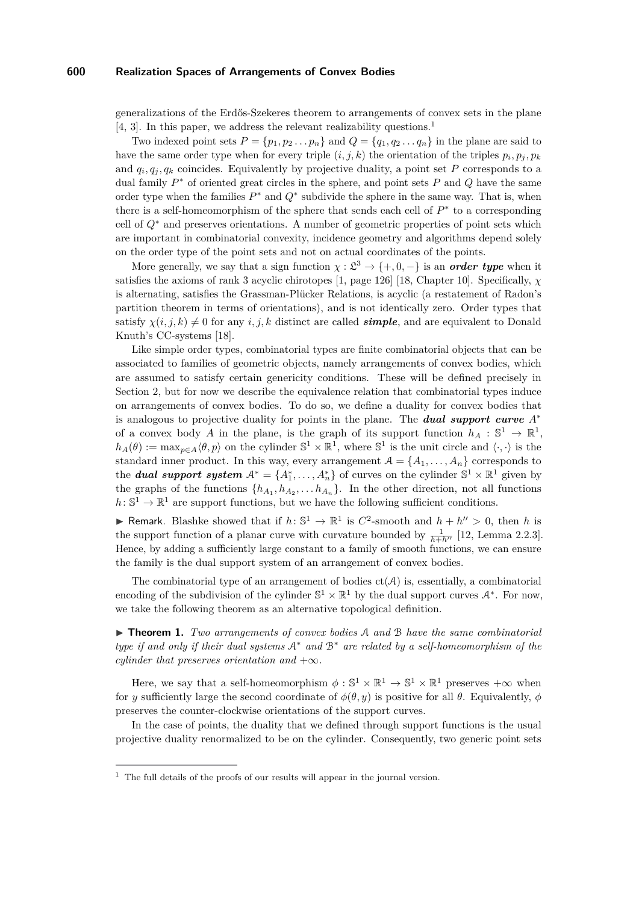generalizations of the Erdős-Szekeres theorem to arrangements of convex sets in the plane [\[4,](#page-14-7) [3\]](#page-13-1). In this paper, we address the relevant realizability questions.<sup>[1](#page-1-0)</sup>

Two indexed point sets  $P = \{p_1, p_2 \ldots p_n\}$  and  $Q = \{q_1, q_2 \ldots q_n\}$  in the plane are said to have the same order type when for every triple  $(i, j, k)$  the orientation of the triples  $p_i, p_j, p_k$ and  $q_i, q_j, q_k$  coincides. Equivalently by projective duality, a point set  $P$  corresponds to a dual family *P* <sup>∗</sup> of oriented great circles in the sphere, and point sets *P* and *Q* have the same order type when the families  $P^*$  and  $Q^*$  subdivide the sphere in the same way. That is, when there is a self-homeomorphism of the sphere that sends each cell of  $P^*$  to a corresponding cell of *Q*<sup>∗</sup> and preserves orientations. A number of geometric properties of point sets which are important in combinatorial convexity, incidence geometry and algorithms depend solely on the order type of the point sets and not on actual coordinates of the points.

More generally, we say that a sign function  $\chi : \mathfrak{L}^3 \to \{+,0,-\}$  is an *order type* when it satisfies the axioms of rank 3 acyclic chirotopes [\[1,](#page-13-2) page 126] [\[18,](#page-14-1) Chapter 10]. Specifically, *χ* is alternating, satisfies the Grassman-Plücker Relations, is acyclic (a restatement of Radon's partition theorem in terms of orientations), and is not identically zero. Order types that satisfy  $\chi(i, j, k) \neq 0$  for any *i, j, k* distinct are called *simple*, and are equivalent to Donald Knuth's CC-systems [\[18\]](#page-14-1).

Like simple order types, combinatorial types are finite combinatorial objects that can be associated to families of geometric objects, namely arrangements of convex bodies, which are assumed to satisfy certain genericity conditions. These will be defined precisely in Section [2,](#page-5-0) but for now we describe the equivalence relation that combinatorial types induce on arrangements of convex bodies. To do so, we define a duality for convex bodies that is analogous to projective duality for points in the plane. The *dual support curve A*<sup>∗</sup> of a convex body *A* in the plane, is the graph of its support function  $h_A: \mathbb{S}^1 \to \mathbb{R}^1$ ,  $h_A(\theta) := \max_{p \in A} \langle \theta, p \rangle$  on the cylinder  $\mathbb{S}^1 \times \mathbb{R}^1$ , where  $\mathbb{S}^1$  is the unit circle and  $\langle \cdot, \cdot \rangle$  is the standard inner product. In this way, every arrangement  $A = \{A_1, \ldots, A_n\}$  corresponds to the *dual support system*  $A^* = \{A_1^*, \ldots, A_n^*\}$  of curves on the cylinder  $\mathbb{S}^1 \times \mathbb{R}^1$  given by the graphs of the functions  $\{h_{A_1}, h_{A_2}, \ldots, h_{A_n}\}$ . In the other direction, not all functions  $h: \mathbb{S}^1 \to \mathbb{R}^1$  are support functions, but we have the following sufficient conditions.

▶ Remark. Blashke showed that if  $h: \mathbb{S}^1 \to \mathbb{R}^1$  is  $C^2$ -smooth and  $h + h'' > 0$ , then *h* is the support function of a planar curve with curvature bounded by  $\frac{1}{h+h^{\prime\prime}}$  [\[12,](#page-14-8) Lemma 2.2.3]. Hence, by adding a sufficiently large constant to a family of smooth functions, we can ensure the family is the dual support system of an arrangement of convex bodies.

The combinatorial type of an arrangement of bodies  $ct(\mathcal{A})$  is, essentially, a combinatorial encoding of the subdivision of the cylinder  $\mathbb{S}^1 \times \mathbb{R}^1$  by the dual support curves  $\mathcal{A}^*$ . For now, we take the following theorem as an alternative topological definition.

I **Theorem 1.** *Two arrangements of convex bodies* A *and* B *have the same combinatorial type if and only if their dual systems* A<sup>∗</sup> *and* B<sup>∗</sup> *are related by a self-homeomorphism of the cylinder that preserves orientation and*  $+\infty$ *.* 

Here, we say that a self-homeomorphism  $\phi : \mathbb{S}^1 \times \mathbb{R}^1 \to \mathbb{S}^1 \times \mathbb{R}^1$  preserves  $+\infty$  when for *y* sufficiently large the second coordinate of  $\phi(\theta, y)$  is positive for all  $\theta$ . Equivalently,  $\phi$ preserves the counter-clockwise orientations of the support curves.

In the case of points, the duality that we defined through support functions is the usual projective duality renormalized to be on the cylinder. Consequently, two generic point sets

<span id="page-1-0"></span> $1$  The full details of the proofs of our results will appear in the journal version.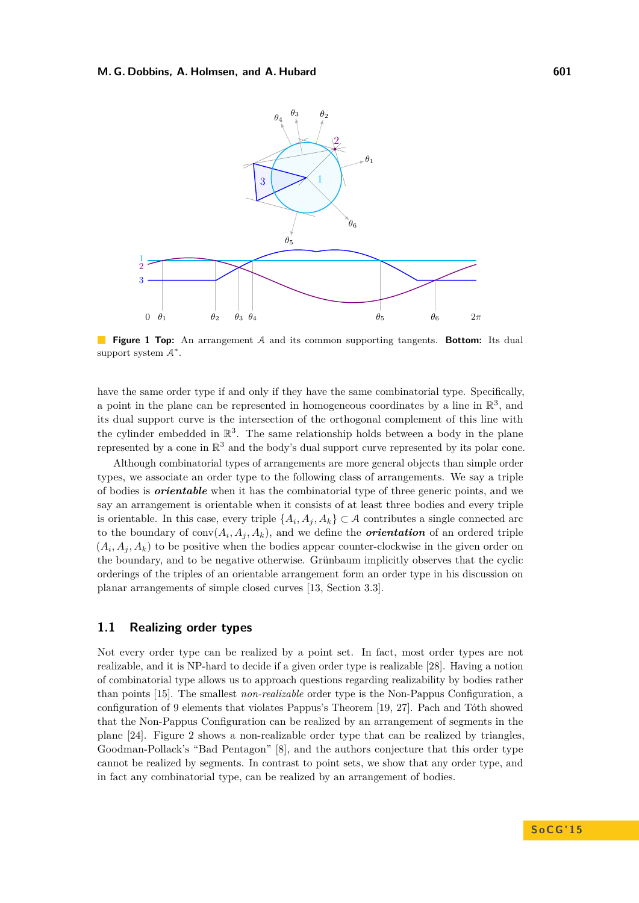

**Figure 1 Top:** An arrangement A and its common supporting tangents. **Bottom:** Its dual support system  $A^*$ .

have the same order type if and only if they have the same combinatorial type. Specifically, a point in the plane can be represented in homogeneous coordinates by a line in  $\mathbb{R}^3$ , and its dual support curve is the intersection of the orthogonal complement of this line with the cylinder embedded in  $\mathbb{R}^3$ . The same relationship holds between a body in the plane represented by a cone in  $\mathbb{R}^3$  and the body's dual support curve represented by its polar cone.

Although combinatorial types of arrangements are more general objects than simple order types, we associate an order type to the following class of arrangements. We say a triple of bodies is *orientable* when it has the combinatorial type of three generic points, and we say an arrangement is orientable when it consists of at least three bodies and every triple is orientable. In this case, every triple  $\{A_i, A_j, A_k\} \subset \mathcal{A}$  contributes a single connected arc to the boundary of  $conv(A_i, A_j, A_k)$ , and we define the *orientation* of an ordered triple  $(A_i, A_j, A_k)$  to be positive when the bodies appear counter-clockwise in the given order on the boundary, and to be negative otherwise. Grünbaum implicitly observes that the cyclic orderings of the triples of an orientable arrangement form an order type in his discussion on planar arrangements of simple closed curves [\[13,](#page-14-9) Section 3.3].

# **1.1 Realizing order types**

Not every order type can be realized by a point set. In fact, most order types are not realizable, and it is NP-hard to decide if a given order type is realizable [\[28\]](#page-15-1). Having a notion of combinatorial type allows us to approach questions regarding realizability by bodies rather than points [\[15\]](#page-14-10). The smallest *non-realizable* order type is the Non-Pappus Configuration, a configuration of 9 elements that violates Pappus's Theorem [\[19,](#page-14-11) [27\]](#page-15-2). Pach and Tóth showed that the Non-Pappus Configuration can be realized by an arrangement of segments in the plane [\[24\]](#page-14-12). Figure [2](#page-3-0) shows a non-realizable order type that can be realized by triangles, Goodman-Pollack's "Bad Pentagon" [\[8\]](#page-14-13), and the authors conjecture that this order type cannot be realized by segments. In contrast to point sets, we show that any order type, and in fact any combinatorial type, can be realized by an arrangement of bodies.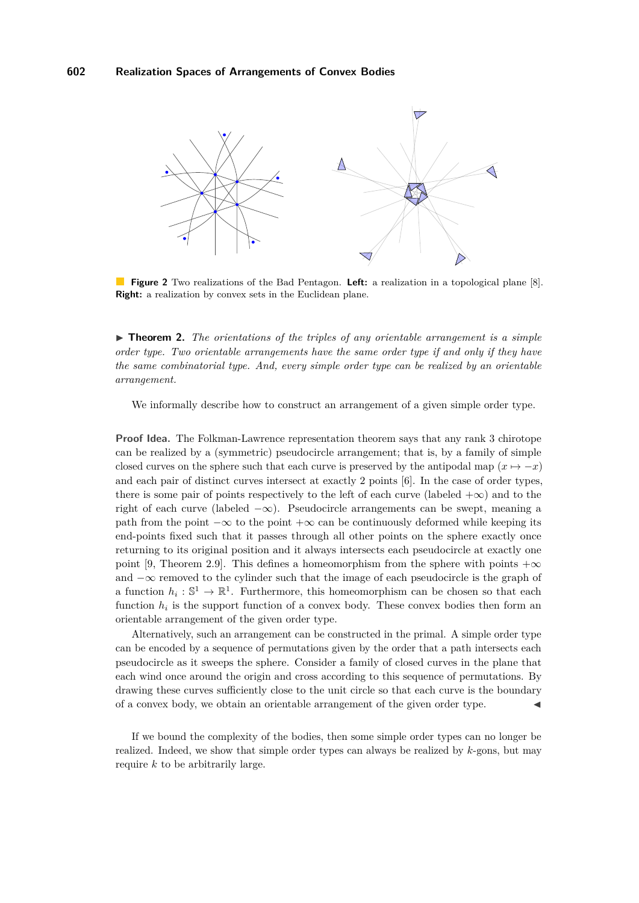<span id="page-3-0"></span>

**Figure 2** Two realizations of the Bad Pentagon. **Left:** a realization in a topological plane [\[8\]](#page-14-13). **Right:** a realization by convex sets in the Euclidean plane.

<span id="page-3-1"></span> $\triangleright$  **Theorem 2.** The orientations of the triples of any orientable arrangement is a simple *order type. Two orientable arrangements have the same order type if and only if they have the same combinatorial type. And, every simple order type can be realized by an orientable arrangement.*

We informally describe how to construct an arrangement of a given simple order type.

**Proof Idea.** The Folkman-Lawrence representation theorem says that any rank 3 chirotope can be realized by a (symmetric) pseudocircle arrangement; that is, by a family of simple closed curves on the sphere such that each curve is preserved by the antipodal map  $(x \mapsto -x)$ and each pair of distinct curves intersect at exactly 2 points [\[6\]](#page-14-14). In the case of order types, there is some pair of points respectively to the left of each curve (labeled  $+\infty$ ) and to the right of each curve (labeled  $-\infty$ ). Pseudocircle arrangements can be swept, meaning a path from the point  $-\infty$  to the point  $+\infty$  can be continuously deformed while keeping its end-points fixed such that it passes through all other points on the sphere exactly once returning to its original position and it always intersects each pseudocircle at exactly one point [\[9,](#page-14-15) Theorem 2.9]. This defines a homeomorphism from the sphere with points  $+\infty$ and −∞ removed to the cylinder such that the image of each pseudocircle is the graph of a function  $h_i: \mathbb{S}^1 \to \mathbb{R}^1$ . Furthermore, this homeomorphism can be chosen so that each function  $h_i$  is the support function of a convex body. These convex bodies then form an orientable arrangement of the given order type.

Alternatively, such an arrangement can be constructed in the primal. A simple order type can be encoded by a sequence of permutations given by the order that a path intersects each pseudocircle as it sweeps the sphere. Consider a family of closed curves in the plane that each wind once around the origin and cross according to this sequence of permutations. By drawing these curves sufficiently close to the unit circle so that each curve is the boundary of a convex body, we obtain an orientable arrangement of the given order type. J

If we bound the complexity of the bodies, then some simple order types can no longer be realized. Indeed, we show that simple order types can always be realized by *k*-gons, but may require *k* to be arbitrarily large.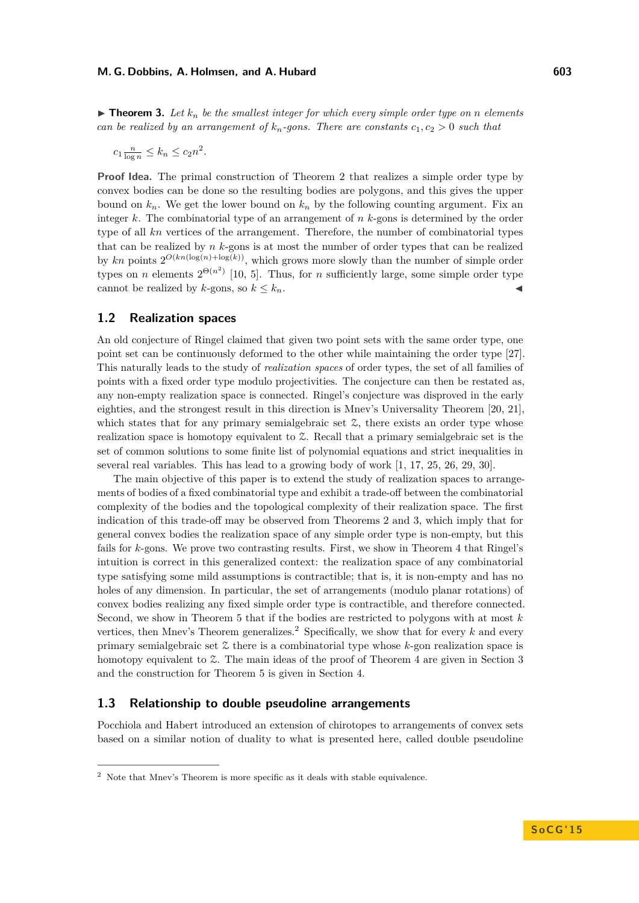<span id="page-4-0"></span> $\triangleright$  **Theorem 3.** Let  $k_n$  be the smallest integer for which every simple order type on *n* elements *can be realized by an arrangement of*  $k_n$ -gons. There are constants  $c_1, c_2 > 0$  such that

$$
c_1 \frac{n}{\log n} \le k_n \le c_2 n^2.
$$

**Proof Idea.** The primal construction of Theorem [2](#page-3-1) that realizes a simple order type by convex bodies can be done so the resulting bodies are polygons, and this gives the upper bound on  $k_n$ . We get the lower bound on  $k_n$  by the following counting argument. Fix an integer *k*. The combinatorial type of an arrangement of *n k*-gons is determined by the order type of all *kn* vertices of the arrangement. Therefore, the number of combinatorial types that can be realized by *n k*-gons is at most the number of order types that can be realized by  $kn$  points  $2^{O(kn(\log(n)+\log(k))}$ , which grows more slowly than the number of simple order types on *n* elements  $2^{\Theta(n^2)}$  [\[10,](#page-14-16) [5\]](#page-14-17). Thus, for *n* sufficiently large, some simple order type cannot be realized by  $k$ -gons, so  $k \leq k_n$ .

### **1.2 Realization spaces**

An old conjecture of Ringel claimed that given two point sets with the same order type, one point set can be continuously deformed to the other while maintaining the order type [\[27\]](#page-15-2). This naturally leads to the study of *realization spaces* of order types, the set of all families of points with a fixed order type modulo projectivities. The conjecture can then be restated as, any non-empty realization space is connected. Ringel's conjecture was disproved in the early eighties, and the strongest result in this direction is Mnev's Universality Theorem [\[20,](#page-14-18) [21\]](#page-14-19), which states that for any primary semialgebraic set  $\mathfrak{X}$ , there exists an order type whose realization space is homotopy equivalent to Z. Recall that a primary semialgebraic set is the set of common solutions to some finite list of polynomial equations and strict inequalities in several real variables. This has lead to a growing body of work [\[1,](#page-13-2) [17,](#page-14-20) [25,](#page-14-21) [26,](#page-14-22) [29,](#page-15-3) [30\]](#page-15-4).

The main objective of this paper is to extend the study of realization spaces to arrangements of bodies of a fixed combinatorial type and exhibit a trade-off between the combinatorial complexity of the bodies and the topological complexity of their realization space. The first indication of this trade-off may be observed from Theorems [2](#page-3-1) and [3,](#page-4-0) which imply that for general convex bodies the realization space of any simple order type is non-empty, but this fails for *k*-gons. We prove two contrasting results. First, we show in Theorem [4](#page-7-0) that Ringel's intuition is correct in this generalized context: the realization space of any combinatorial type satisfying some mild assumptions is contractible; that is, it is non-empty and has no holes of any dimension. In particular, the set of arrangements (modulo planar rotations) of convex bodies realizing any fixed simple order type is contractible, and therefore connected. Second, we show in Theorem [5](#page-7-1) that if the bodies are restricted to polygons with at most *k* vertices, then Mnev's Theorem generalizes.<sup>[2](#page-4-1)</sup> Specifically, we show that for every  $k$  and every primary semialgebraic set Z there is a combinatorial type whose *k*-gon realization space is homotopy equivalent to  $\mathfrak{L}$ . The main ideas of the proof of Theorem [4](#page-7-0) are given in Section [3](#page-7-2) and the construction for Theorem [5](#page-7-1) is given in Section [4.](#page-10-0)

### **1.3 Relationship to double pseudoline arrangements**

Pocchiola and Habert introduced an extension of chirotopes to arrangements of convex sets based on a similar notion of duality to what is presented here, called double pseudoline

<span id="page-4-1"></span><sup>2</sup> Note that Mnev's Theorem is more specific as it deals with stable equivalence.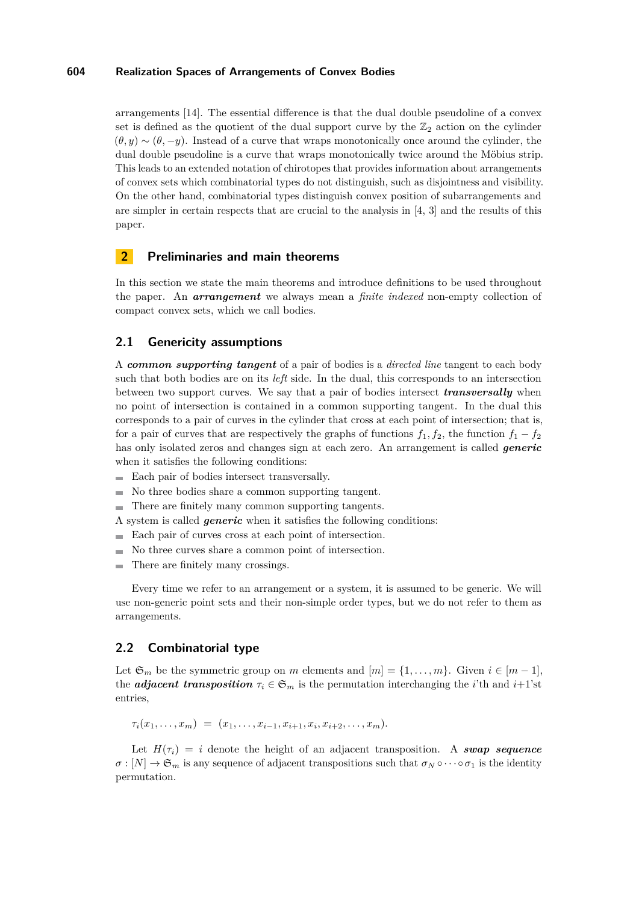arrangements [\[14\]](#page-14-2). The essential difference is that the dual double pseudoline of a convex set is defined as the quotient of the dual support curve by the  $\mathbb{Z}_2$  action on the cylinder  $(\theta, y) \sim (\theta, -y)$ . Instead of a curve that wraps monotonically once around the cylinder, the dual double pseudoline is a curve that wraps monotonically twice around the Möbius strip. This leads to an extended notation of chirotopes that provides information about arrangements of convex sets which combinatorial types do not distinguish, such as disjointness and visibility. On the other hand, combinatorial types distinguish convex position of subarrangements and are simpler in certain respects that are crucial to the analysis in [\[4,](#page-14-7) [3\]](#page-13-1) and the results of this paper.

# <span id="page-5-0"></span>**2 Preliminaries and main theorems**

In this section we state the main theorems and introduce definitions to be used throughout the paper. An *arrangement* we always mean a *finite indexed* non-empty collection of compact convex sets, which we call bodies.

### <span id="page-5-1"></span>**2.1 Genericity assumptions**

A *common supporting tangent* of a pair of bodies is a *directed line* tangent to each body such that both bodies are on its *left* side. In the dual, this corresponds to an intersection between two support curves. We say that a pair of bodies intersect *transversally* when no point of intersection is contained in a common supporting tangent. In the dual this corresponds to a pair of curves in the cylinder that cross at each point of intersection; that is, for a pair of curves that are respectively the graphs of functions  $f_1, f_2$ , the function  $f_1 - f_2$ has only isolated zeros and changes sign at each zero. An arrangement is called *generic* when it satisfies the following conditions:

- Each pair of bodies intersect transversally.
- No three bodies share a common supporting tangent.
- $\equiv$ There are finitely many common supporting tangents.
- A system is called *generic* when it satisfies the following conditions:
- Each pair of curves cross at each point of intersection.
- No three curves share a common point of intersection. ÷
- There are finitely many crossings.

Every time we refer to an arrangement or a system, it is assumed to be generic. We will use non-generic point sets and their non-simple order types, but we do not refer to them as arrangements.

### **2.2 Combinatorial type**

Let  $\mathfrak{S}_m$  be the symmetric group on *m* elements and  $[m] = \{1, \ldots, m\}$ . Given  $i \in [m-1]$ , the *adjacent transposition*  $\tau_i \in \mathfrak{S}_m$  is the permutation interchanging the *i*'th and *i*+1'st entries,

 $\tau_i(x_1,\ldots,x_m) = (x_1,\ldots,x_{i-1},x_{i+1},x_i,x_{i+2},\ldots,x_m).$ 

Let  $H(\tau_i) = i$  denote the height of an adjacent transposition. A *swap sequence*  $\sigma$  :  $[N] \to \mathfrak{S}_m$  is any sequence of adjacent transpositions such that  $\sigma_N \circ \cdots \circ \sigma_1$  is the identity permutation.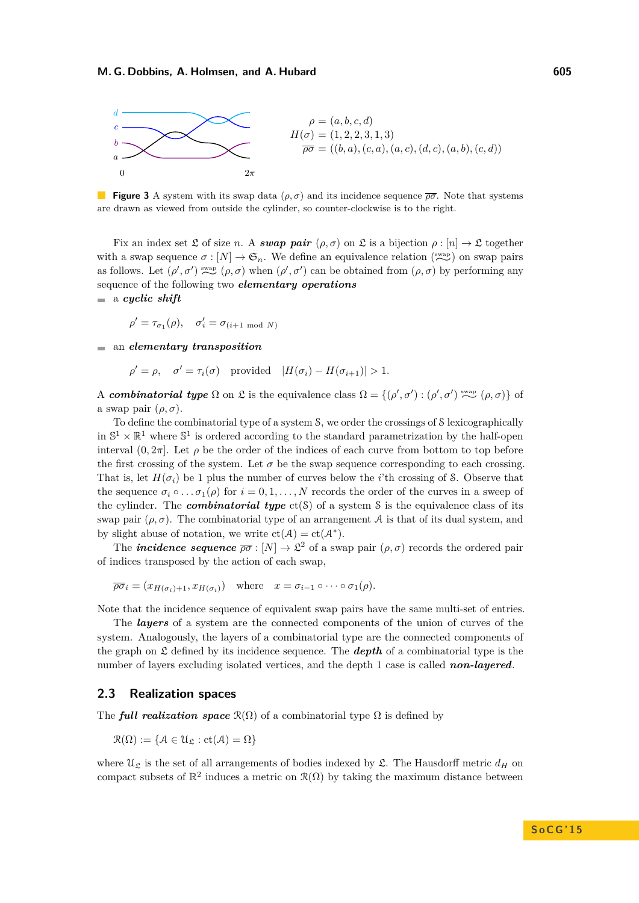

**Figure 3** A system with its swap data  $(\rho, \sigma)$  and its incidence sequence  $\overline{\rho\sigma}$ . Note that systems are drawn as viewed from outside the cylinder, so counter-clockwise is to the right.

Fix an index set  $\mathfrak L$  of size *n*. A *swap pair*  $(\rho, \sigma)$  on  $\mathfrak L$  is a bijection  $\rho : [n] \to \mathfrak L$  together with a swap sequence  $\sigma$  :  $[N] \to \mathfrak{S}_n$ . We define an equivalence relation  $\binom{\text{swap}}{\text{swap}}$  on swap pairs as follows. Let  $(\rho', \sigma')$  swap  $(\rho, \sigma)$  when  $(\rho', \sigma')$  can be obtained from  $(\rho, \sigma)$  by performing any sequence of the following two *elementary operations*

a *cyclic shift*

$$
\rho' = \tau_{\sigma_1}(\rho), \quad \sigma'_i = \sigma_{(i+1 \mod N)}
$$

an *elementary transposition*

$$
\rho' = \rho, \quad \sigma' = \tau_i(\sigma) \quad \text{provided} \quad |H(\sigma_i) - H(\sigma_{i+1})| > 1.
$$

A *combinatorial type*  $\Omega$  on  $\mathfrak{L}$  is the equivalence class  $\Omega = \{(\rho', \sigma') : (\rho', \sigma') \stackrel{\text{swap}}{\sim} (\rho, \sigma)\}$  of a swap pair  $(\rho, \sigma)$ .

To define the combinatorial type of a system S, we order the crossings of S lexicographically in  $\mathbb{S}^1 \times \mathbb{R}^1$  where  $\mathbb{S}^1$  is ordered according to the standard parametrization by the half-open interval  $(0, 2\pi]$ . Let  $\rho$  be the order of the indices of each curve from bottom to top before the first crossing of the system. Let  $\sigma$  be the swap sequence corresponding to each crossing. That is, let  $H(\sigma_i)$  be 1 plus the number of curves below the *i*'th crossing of S. Observe that the sequence  $\sigma_i \circ \ldots \sigma_1(\rho)$  for  $i = 0, 1, \ldots, N$  records the order of the curves in a sweep of the cylinder. The *combinatorial type*  $ct(S)$  of a system S is the equivalence class of its swap pair  $(\rho, \sigma)$ . The combinatorial type of an arrangement A is that of its dual system, and by slight abuse of notation, we write  $ct(\mathcal{A}) = ct(\mathcal{A}^*).$ 

The *incidence sequence*  $\overline{\rho\sigma}$  :  $[N] \to \mathfrak{L}^2$  of a swap pair  $(\rho, \sigma)$  records the ordered pair of indices transposed by the action of each swap,

$$
\overline{\rho\sigma}_i = (x_{H(\sigma_i)+1}, x_{H(\sigma_i)}) \quad \text{where} \quad x = \sigma_{i-1} \circ \cdots \circ \sigma_1(\rho).
$$

Note that the incidence sequence of equivalent swap pairs have the same multi-set of entries.

The *layers* of a system are the connected components of the union of curves of the system. Analogously, the layers of a combinatorial type are the connected components of the graph on  $\mathfrak L$  defined by its incidence sequence. The **depth** of a combinatorial type is the number of layers excluding isolated vertices, and the depth 1 case is called *non-layered*.

#### **2.3 Realization spaces**

The *full realization space*  $\mathcal{R}(\Omega)$  of a combinatorial type  $\Omega$  is defined by

$$
\mathcal{R}(\Omega) := \{ \mathcal{A} \in \mathcal{U}_{\mathfrak{L}} : ct(\mathcal{A}) = \Omega \}
$$

where  $\mathfrak{U}_{\mathfrak{L}}$  is the set of all arrangements of bodies indexed by  $\mathfrak{L}$ . The Hausdorff metric  $d_H$  on compact subsets of  $\mathbb{R}^2$  induces a metric on  $\mathcal{R}(\Omega)$  by taking the maximum distance between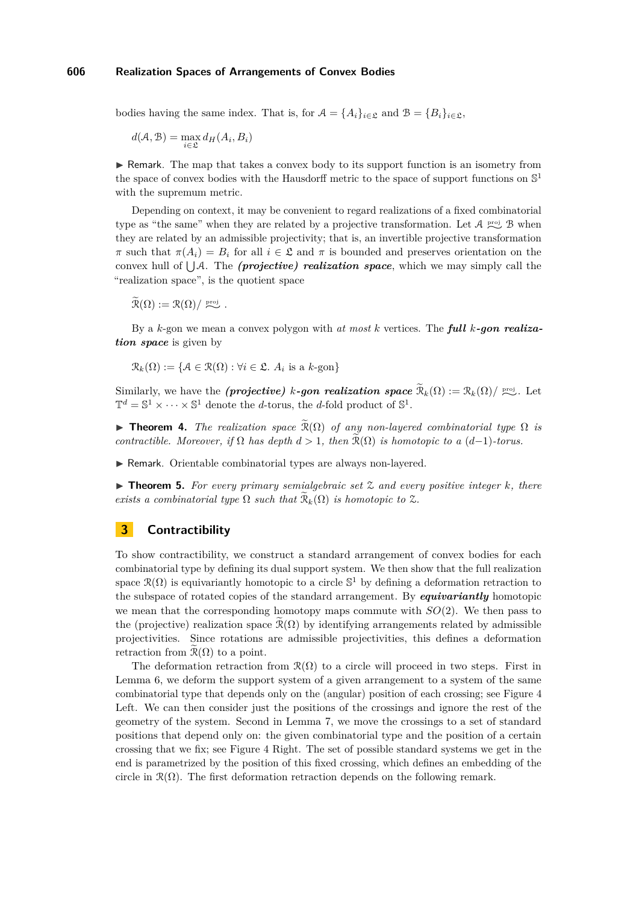bodies having the same index. That is, for  $\mathcal{A} = \{A_i\}_{i \in \mathcal{L}}$  and  $\mathcal{B} = \{B_i\}_{i \in \mathcal{L}}$ ,

 $d(A, B) = \max_{i \in \mathcal{L}} d_H(A_i, B_i)$ 

 $\triangleright$  Remark. The map that takes a convex body to its support function is an isometry from the space of convex bodies with the Hausdorff metric to the space of support functions on  $\mathbb{S}^1$ with the supremum metric.

Depending on context, it may be convenient to regard realizations of a fixed combinatorial type as "the same" when they are related by a projective transformation. Let  $\mathcal{A}$  <sup>proj</sup> B when they are related by an admissible projectivity; that is, an invertible projective transformation *π* such that  $π(A_i) = B_i$  for all  $i \in \mathfrak{L}$  and  $π$  is bounded and preserves orientation on the convex hull of  $\bigcup A$ . The *(projective) realization space*, which we may simply call the "realization space", is the quotient space

 $\widetilde{\mathcal{R}}(\Omega) := \mathcal{R}(\Omega) / \stackrel{\text{proj}}{\sim}$ .

By a *k*-gon we mean a convex polygon with *at most k* vertices. The *full k-gon realization space* is given by

 $\mathcal{R}_k(\Omega) := \{ \mathcal{A} \in \mathcal{R}(\Omega) : \forall i \in \mathfrak{L}. \ A_i \text{ is a } k\text{-gon} \}$ 

Similarly, we have the *(projective) k-gon realization space*  $\widetilde{R}_k(\Omega) := \mathcal{R}_k(\Omega) / \sum_{k=1}^{\infty}$ . Let  $\mathbb{T}^d = \mathbb{S}^1 \times \cdots \times \mathbb{S}^1$  denote the *d*-torus, the *d*-fold product of  $\mathbb{S}^1$ .

<span id="page-7-0"></span>**Theorem 4.** *The realization space*  $\widetilde{\mathcal{R}}(\Omega)$  *of any non-layered combinatorial type*  $\Omega$  *is contractible. Moreover, if*  $\Omega$  *has depth*  $d > 1$ *, then*  $\widetilde{\mathcal{R}}(\Omega)$  *is homotopic to a*  $(d-1)$ *-torus.* 

▶ Remark. Orientable combinatorial types are always non-layered.

<span id="page-7-1"></span>▶ **Theorem 5.** *For every primary semialgebraic set*  $\mathcal{Z}$  *and every positive integer k, there exists a combinatorial type*  $\Omega$  *such that*  $\mathcal{R}_k(\Omega)$  *is homotopic to*  $\mathcal{Z}$ *.* 

# <span id="page-7-2"></span>**3 Contractibility**

To show contractibility, we construct a standard arrangement of convex bodies for each combinatorial type by defining its dual support system. We then show that the full realization space  $\mathcal{R}(\Omega)$  is equivariantly homotopic to a circle  $\mathbb{S}^1$  by defining a deformation retraction to the subspace of rotated copies of the standard arrangement. By *equivariantly* homotopic we mean that the corresponding homotopy maps commute with *SO*(2). We then pass to the (projective) realization space  $\mathcal{R}(\Omega)$  by identifying arrangements related by admissible projectivities. Since rotations are admissible projectivities, this defines a deformation retraction from  $\mathcal{R}(\Omega)$  to a point.

The deformation retraction from  $\mathcal{R}(\Omega)$  to a circle will proceed in two steps. First in Lemma [6,](#page-9-0) we deform the support system of a given arrangement to a system of the same combinatorial type that depends only on the (angular) position of each crossing; see Figure [4](#page-8-0) Left. We can then consider just the positions of the crossings and ignore the rest of the geometry of the system. Second in Lemma [7,](#page-10-1) we move the crossings to a set of standard positions that depend only on: the given combinatorial type and the position of a certain crossing that we fix; see Figure [4](#page-8-0) Right. The set of possible standard systems we get in the end is parametrized by the position of this fixed crossing, which defines an embedding of the circle in  $\mathcal{R}(\Omega)$ . The first deformation retraction depends on the following remark.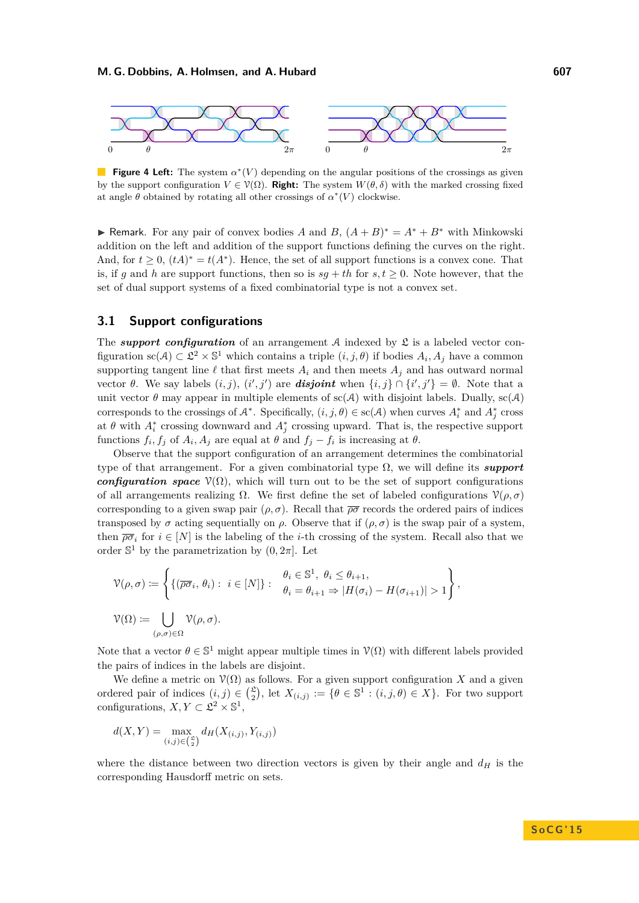<span id="page-8-0"></span>

**Figure 4 Left:** The system  $\alpha^*(V)$  depending on the angular positions of the crossings as given by the support configuration  $V \in \mathcal{V}(\Omega)$ . **Right:** The system  $W(\theta, \delta)$  with the marked crossing fixed at angle  $\theta$  obtained by rotating all other crossings of  $\alpha^*(V)$  clockwise.

► Remark. For any pair of convex bodies *A* and *B*,  $(A + B)^* = A^* + B^*$  with Minkowski addition on the left and addition of the support functions defining the curves on the right. And, for  $t \geq 0$ ,  $(tA)^* = t(A^*)$ . Hence, the set of all support functions is a convex cone. That is, if *g* and *h* are support functions, then so is  $sq + th$  for  $s, t \geq 0$ . Note however, that the set of dual support systems of a fixed combinatorial type is not a convex set.

#### **3.1 Support configurations**

The *support configuration* of an arrangement  $A$  indexed by  $\mathfrak L$  is a labeled vector configuration  $\text{sc}(A) \subset \mathcal{L}^2 \times \mathbb{S}^1$  which contains a triple  $(i, j, \theta)$  if bodies  $A_i, A_j$  have a common supporting tangent line  $\ell$  that first meets  $A_i$  and then meets  $A_j$  and has outward normal vector *θ*. We say labels  $(i, j)$ ,  $(i', j')$  are *disjoint* when  $\{i, j\} ∩ \{i', j'\} = ∅$ . Note that a unit vector  $\theta$  may appear in multiple elements of sc(A) with disjoint labels. Dually, sc(A) corresponds to the crossings of  $A^*$ . Specifically,  $(i, j, \theta) \in sc(A)$  when curves  $A_i^*$  and  $A_j^*$  cross at  $\theta$  with  $A_i^*$  crossing downward and  $A_j^*$  crossing upward. That is, the respective support functions  $f_i, f_j$  of  $A_i, A_j$  are equal at  $\theta$  and  $f_j - f_i$  is increasing at  $\theta$ .

Observe that the support configuration of an arrangement determines the combinatorial type of that arrangement. For a given combinatorial type Ω, we will define its *support configuration space*  $\mathcal{V}(\Omega)$ , which will turn out to be the set of support configurations of all arrangements realizing  $Ω$ . We first define the set of labeled configurations  $\mathcal{V}(\rho, \sigma)$ corresponding to a given swap pair  $(\rho, \sigma)$ . Recall that  $\overline{\rho\sigma}$  records the ordered pairs of indices transposed by  $\sigma$  acting sequentially on  $\rho$ . Observe that if  $(\rho, \sigma)$  is the swap pair of a system, then  $\overline{\rho\sigma_i}$  for  $i \in [N]$  is the labeling of the *i*-th crossing of the system. Recall also that we order  $\mathbb{S}^1$  by the parametrization by  $(0, 2\pi]$ . Let

$$
\mathcal{V}(\rho,\sigma) := \left\{ \{ (\overline{\rho\sigma}_i, \theta_i) : i \in [N] \} : \begin{array}{l} \theta_i \in \mathbb{S}^1, \ \theta_i \le \theta_{i+1}, \\ \theta_i = \theta_{i+1} \Rightarrow |H(\sigma_i) - H(\sigma_{i+1})| > 1 \end{array} \right\},
$$
  

$$
\mathcal{V}(\Omega) := \bigcup_{(\rho,\sigma) \in \Omega} \mathcal{V}(\rho,\sigma).
$$

Note that a vector  $\theta \in \mathbb{S}^1$  might appear multiple times in  $\mathcal{V}(\Omega)$  with different labels provided the pairs of indices in the labels are disjoint.

We define a metric on  $\mathcal{V}(\Omega)$  as follows. For a given support configuration *X* and a given ordered pair of indices  $(i, j) \in {\mathcal{L} \choose 2}$ , let  $X_{(i,j)} := \{ \theta \in \mathbb{S}^1 : (i, j, \theta) \in X \}$ . For two support configurations,  $X, Y \subset \mathcal{L}^2 \times \mathbb{S}^1$ ,

$$
d(X,Y) = \max_{(i,j) \in \binom{S}{2}} d_H(X_{(i,j)}, Y_{(i,j)})
$$

where the distance between two direction vectors is given by their angle and  $d_H$  is the corresponding Hausdorff metric on sets.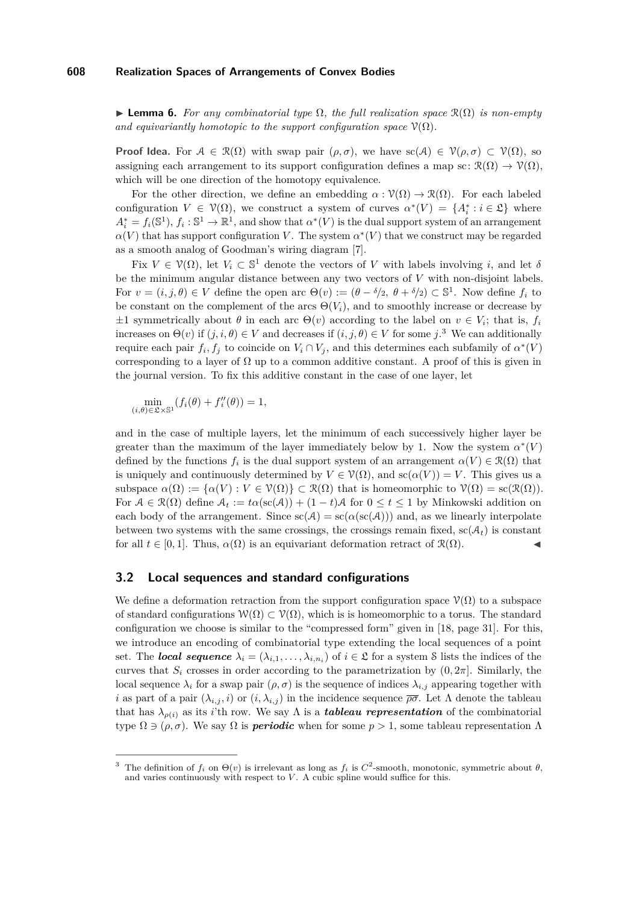<span id="page-9-0"></span>**Lemma 6.** For any combinatorial type  $\Omega$ , the full realization space  $\mathcal{R}(\Omega)$  is non-empty *and equivariantly homotopic to the support configuration space*  $\mathcal{V}(\Omega)$ *.* 

**Proof Idea.** For  $A \in \mathcal{R}(\Omega)$  with swap pair  $(\rho, \sigma)$ , we have sc(A)  $\in \mathcal{V}(\rho, \sigma) \subset \mathcal{V}(\Omega)$ , so assigning each arrangement to its support configuration defines a map sc:  $\mathcal{R}(\Omega) \to \mathcal{V}(\Omega)$ , which will be one direction of the homotopy equivalence.

For the other direction, we define an embedding  $\alpha : \mathcal{V}(\Omega) \to \mathcal{R}(\Omega)$ . For each labeled configuration  $V \in \mathcal{V}(\Omega)$ , we construct a system of curves  $\alpha^*(V) = \{A_i^* : i \in \mathfrak{L}\}\$  where  $A_i^* = f_i(\mathbb{S}^1), f_i: \mathbb{S}^1 \to \mathbb{R}^1$ , and show that  $\alpha^*(V)$  is the dual support system of an arrangement  $\alpha(V)$  that has support configuration *V*. The system  $\alpha^*(V)$  that we construct may be regarded as a smooth analog of Goodman's wiring diagram [\[7\]](#page-14-0).

Fix  $V \in \mathcal{V}(\Omega)$ , let  $V_i \subset \mathbb{S}^1$  denote the vectors of *V* with labels involving *i*, and let  $\delta$ be the minimum angular distance between any two vectors of *V* with non-disjoint labels. For  $v = (i, j, \theta) \in V$  define the open arc  $\Theta(v) := (\theta - \delta/2, \theta + \delta/2) \subset \mathbb{S}^1$ . Now define  $f_i$  to be constant on the complement of the arcs  $\Theta(V_i)$ , and to smoothly increase or decrease by  $\pm 1$  symmetrically about  $\theta$  in each arc  $\Theta(v)$  according to the label on  $v \in V_i$ ; that is,  $f_i$ increases on  $\Theta(v)$  if  $(j, i, \theta) \in V$  and decreases if  $(i, j, \theta) \in V$  for some  $j$ .<sup>[3](#page-9-1)</sup> We can additionally require each pair  $f_i, f_j$  to coincide on  $V_i \cap V_j$ , and this determines each subfamily of  $\alpha^*(V)$ corresponding to a layer of  $\Omega$  up to a common additive constant. A proof of this is given in the journal version. To fix this additive constant in the case of one layer, let

$$
\min_{(i,\theta)\in\mathfrak{L}\times\mathbb{S}^1} (f_i(\theta) + f''_i(\theta)) = 1,
$$

and in the case of multiple layers, let the minimum of each successively higher layer be greater than the maximum of the layer immediately below by 1. Now the system  $\alpha^*(V)$ defined by the functions  $f_i$  is the dual support system of an arrangement  $\alpha(V) \in \mathcal{R}(\Omega)$  that is uniquely and continuously determined by  $V \in \mathcal{V}(\Omega)$ , and  $\mathrm{sc}(\alpha(V)) = V$ . This gives us a subspace  $\alpha(\Omega) := {\alpha(V) : V \in \mathcal{V}(\Omega)} \subset \mathcal{R}(\Omega)$  that is homeomorphic to  $\mathcal{V}(\Omega) = \mathrm{sc}(\mathcal{R}(\Omega)).$ For  $A \in \mathcal{R}(\Omega)$  define  $A_t := t\alpha(\operatorname{sc}(A)) + (1-t)A$  for  $0 \le t \le 1$  by Minkowski addition on each body of the arrangement. Since  $sc(A) = sc(\alpha (sc(A)))$  and, as we linearly interpolate between two systems with the same crossings, the crossings remain fixed,  $\text{sc}(\mathcal{A}_t)$  is constant for all  $t \in [0,1]$ . Thus,  $\alpha(\Omega)$  is an equivariant deformation retract of  $\mathcal{R}(\Omega)$ .

#### **3.2 Local sequences and standard configurations**

We define a deformation retraction from the support configuration space  $\mathcal{V}(\Omega)$  to a subspace of standard configurations  $W(\Omega) \subset V(\Omega)$ , which is is homeomorphic to a torus. The standard configuration we choose is similar to the "compressed form" given in [\[18,](#page-14-1) page 31]. For this, we introduce an encoding of combinatorial type extending the local sequences of a point set. The *local sequence*  $\lambda_i = (\lambda_{i,1}, \ldots, \lambda_{i,n_i})$  of  $i \in \mathfrak{L}$  for a system S lists the indices of the curves that  $S_i$  crosses in order according to the parametrization by  $(0, 2\pi]$ . Similarly, the local sequence  $\lambda_i$  for a swap pair  $(\rho, \sigma)$  is the sequence of indices  $\lambda_{i,j}$  appearing together with *i* as part of a pair  $(\lambda_{i,j}, i)$  or  $(i, \lambda_{i,j})$  in the incidence sequence  $\overline{\rho\sigma}$ . Let  $\Lambda$  denote the tableau that has  $\lambda_{\rho(i)}$  as its *i*'th row. We say  $\Lambda$  is a *tableau representation* of the combinatorial type  $\Omega \ni (\rho, \sigma)$ . We say  $\Omega$  is *periodic* when for some  $p > 1$ , some tableau representation  $\Lambda$ 

<span id="page-9-1"></span><sup>&</sup>lt;sup>3</sup> The definition of  $f_i$  on  $\Theta(v)$  is irrelevant as long as  $f_i$  is  $C^2$ -smooth, monotonic, symmetric about  $\theta$ , and varies continuously with respect to  $V$ . A cubic spline would suffice for this.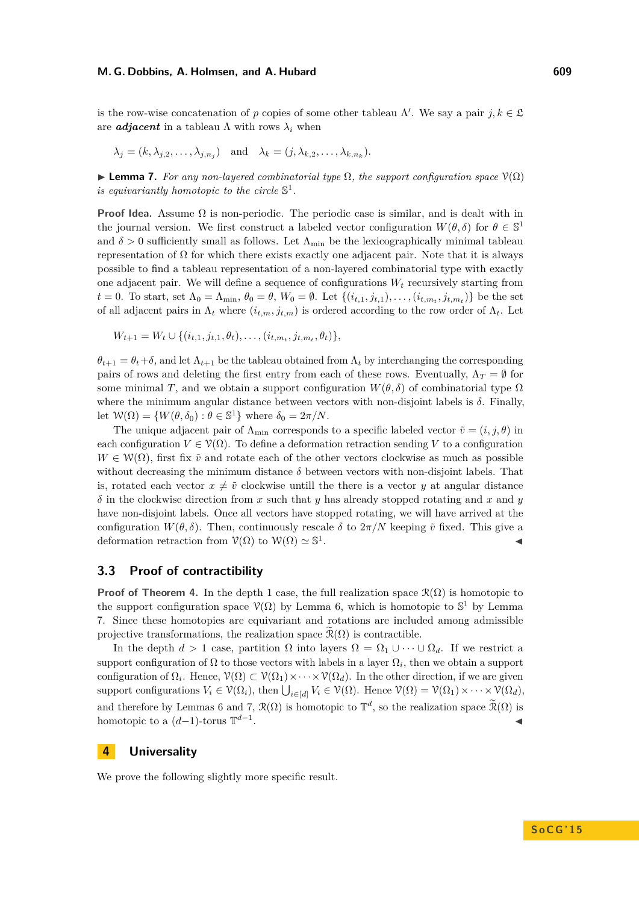is the row-wise concatenation of *p* copies of some other tableau  $\Lambda'$ . We say a pair  $j, k \in \mathfrak{L}$ are *adjacent* in a tableau  $\Lambda$  with rows  $\lambda_i$  when

$$
\lambda_j = (k, \lambda_{j,2}, \dots, \lambda_{j,n_j})
$$
 and  $\lambda_k = (j, \lambda_{k,2}, \dots, \lambda_{k,n_k}).$ 

<span id="page-10-1"></span>**Lemma 7.** *For any non-layered combinatorial type*  $\Omega$ *, the support configuration space*  $\mathcal{V}(\Omega)$ *is equivariantly homotopic to the circle*  $\mathbb{S}^1$ *.* 

**Proof Idea.** Assume  $\Omega$  is non-periodic. The periodic case is similar, and is dealt with in the journal version. We first construct a labeled vector configuration  $W(\theta, \delta)$  for  $\theta \in \mathbb{S}^1$ and  $\delta > 0$  sufficiently small as follows. Let  $\Lambda_{\min}$  be the lexicographically minimal tableau representation of  $\Omega$  for which there exists exactly one adjacent pair. Note that it is always possible to find a tableau representation of a non-layered combinatorial type with exactly one adjacent pair. We will define a sequence of configurations  $W_t$  recursively starting from *t* = 0. To start, set  $\Lambda_0 = \Lambda_{\min}$ ,  $\theta_0 = \theta$ ,  $W_0 = \emptyset$ . Let  $\{(i_{t,1}, j_{t,1}), \ldots, (i_{t,m_t}, j_{t,m_t})\}$  be the set of all adjacent pairs in  $\Lambda_t$  where  $(i_{t,m}, j_{t,m})$  is ordered according to the row order of  $\Lambda_t$ . Let

$$
W_{t+1} = W_t \cup \{(i_{t,1}, j_{t,1}, \theta_t), \dots, (i_{t,m_t}, j_{t,m_t}, \theta_t)\},\
$$

 $\theta_{t+1} = \theta_t + \delta$ , and let  $\Lambda_{t+1}$  be the tableau obtained from  $\Lambda_t$  by interchanging the corresponding pairs of rows and deleting the first entry from each of these rows. Eventually,  $\Lambda_T = \emptyset$  for some minimal *T*, and we obtain a support configuration  $W(\theta, \delta)$  of combinatorial type  $\Omega$ where the minimum angular distance between vectors with non-disjoint labels is *δ*. Finally, let  $W(\Omega) = \{W(\theta, \delta_0) : \theta \in \mathbb{S}^1\}$  where  $\delta_0 = 2\pi/N$ .

The unique adjacent pair of  $\Lambda_{\text{min}}$  corresponds to a specific labeled vector  $\tilde{v} = (i, j, \theta)$  in each configuration  $V \in \mathcal{V}(\Omega)$ . To define a deformation retraction sending V to a configuration  $W \in \mathcal{W}(\Omega)$ , first fix  $\tilde{v}$  and rotate each of the other vectors clockwise as much as possible without decreasing the minimum distance  $\delta$  between vectors with non-disjoint labels. That is, rotated each vector  $x \neq \tilde{v}$  clockwise untill the there is a vector *y* at angular distance  $\delta$  in the clockwise direction from *x* such that *y* has already stopped rotating and *x* and *y* have non-disjoint labels. Once all vectors have stopped rotating, we will have arrived at the configuration  $W(\theta, \delta)$ . Then, continuously rescale  $\delta$  to  $2\pi/N$  keeping  $\tilde{v}$  fixed. This give a deformation retraction from  $\mathcal{V}(\Omega)$  to  $\mathcal{W}(\Omega) \simeq \mathbb{S}^1$ . J

### **3.3 Proof of contractibility**

**Proof of Theorem [4.](#page-7-0)** In the depth 1 case, the full realization space  $\mathcal{R}(\Omega)$  is homotopic to the support configuration space  $\mathcal{V}(\Omega)$  by Lemma [6,](#page-9-0) which is homotopic to  $\mathbb{S}^1$  by Lemma [7.](#page-10-1) Since these homotopies are equivariant and rotations are included among admissible projective transformations, the realization space  $\mathcal{R}(\Omega)$  is contractible.

In the depth  $d > 1$  case, partition  $\Omega$  into layers  $\Omega = \Omega_1 \cup \cdots \cup \Omega_d$ . If we restrict a support configuration of  $\Omega$  to those vectors with labels in a layer  $\Omega_i$ , then we obtain a support configuration of  $\Omega_i$ . Hence,  $\mathcal{V}(\Omega) \subset \mathcal{V}(\Omega_1) \times \cdots \times \mathcal{V}(\Omega_d)$ . In the other direction, if we are given support configurations  $V_i \in \mathcal{V}(\Omega_i)$ , then  $\bigcup_{i \in [d]} V_i \in \mathcal{V}(\Omega)$ . Hence  $\mathcal{V}(\Omega) = \mathcal{V}(\Omega_1) \times \cdots \times \mathcal{V}(\Omega_d)$ , and therefore by Lemmas [6](#page-9-0) and [7,](#page-10-1)  $\mathcal{R}(\Omega)$  is homotopic to  $\mathbb{T}^d$ , so the realization space  $\widetilde{\mathcal{R}}(\Omega)$  is homotopic to a (*d*−1)-torus T *d*−1 . J

# <span id="page-10-0"></span>**4 Universality**

We prove the following slightly more specific result.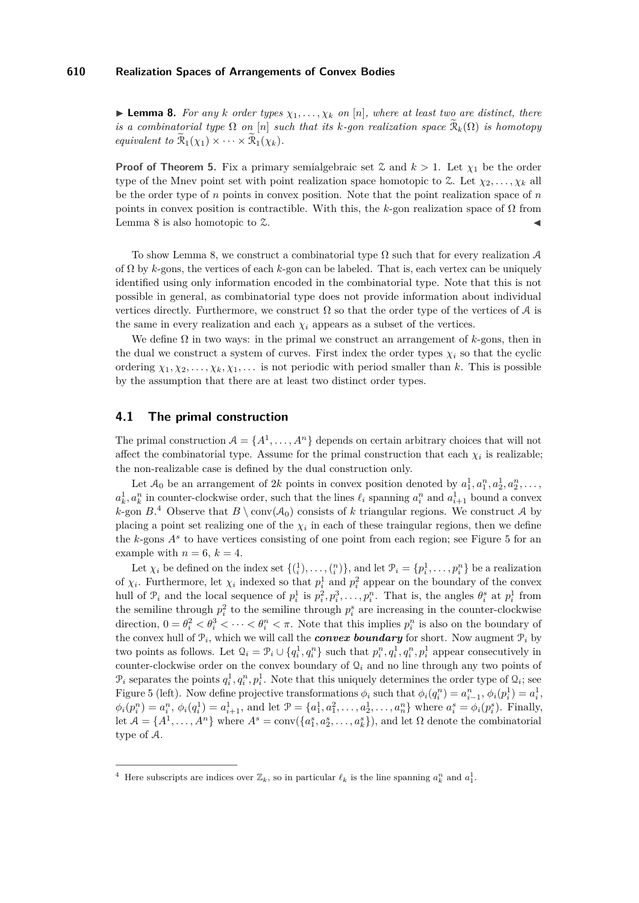<span id="page-11-0"></span>**Lemma 8.** For any *k* order types  $\chi_1, \ldots, \chi_k$  on [n], where at least two are distinct, there *is a combinatorial type*  $\Omega$  *on* [*n*] *such that its k-gon realization space*  $\mathcal{R}_k(\Omega)$  *is homotopy equivalent to*  $\mathcal{R}_1(\chi_1) \times \cdots \times \mathcal{R}_1(\chi_k)$ .

**Proof of Theorem [5.](#page-7-1)** Fix a primary semialgebraic set  $\mathcal{Z}$  and  $k > 1$ . Let  $\chi_1$  be the order type of the Mnev point set with point realization space homotopic to  $\mathcal{Z}$ . Let  $\chi_2, \ldots, \chi_k$  all be the order type of *n* points in convex position. Note that the point realization space of *n* points in convex position is contractible. With this, the  $k$ -gon realization space of  $\Omega$  from Lemma [8](#page-11-0) is also homotopic to  $\mathfrak{X}$ .

To show Lemma [8,](#page-11-0) we construct a combinatorial type  $\Omega$  such that for every realization A of Ω by *k*-gons, the vertices of each *k*-gon can be labeled. That is, each vertex can be uniquely identified using only information encoded in the combinatorial type. Note that this is not possible in general, as combinatorial type does not provide information about individual vertices directly. Furthermore, we construct  $\Omega$  so that the order type of the vertices of A is the same in every realization and each  $\chi_i$  appears as a subset of the vertices.

We define  $\Omega$  in two ways: in the primal we construct an arrangement of  $k$ -gons, then in the dual we construct a system of curves. First index the order types  $\chi_i$  so that the cyclic ordering  $\chi_1, \chi_2, \ldots, \chi_k, \chi_1, \ldots$  is not periodic with period smaller than *k*. This is possible by the assumption that there are at least two distinct order types.

# **4.1 The primal construction**

The primal construction  $A = \{A^1, \ldots, A^n\}$  depends on certain arbitrary choices that will not affect the combinatorial type. Assume for the primal construction that each  $\chi_i$  is realizable; the non-realizable case is defined by the dual construction only.

Let  $\mathcal{A}_0$  be an arrangement of 2k points in convex position denoted by  $a_1^1, a_1^n, a_2^1, a_2^n, \ldots$ ,  $a_k^1, a_k^n$  in counter-clockwise order, such that the lines  $\ell_i$  spanning  $a_i^n$  and  $a_{i+1}^1$  bound a convex *k*-gon  $B^4$  $B^4$  Observe that  $B \setminus \text{conv}(\mathcal{A}_0)$  consists of *k* triangular regions. We construct A by placing a point set realizing one of the  $\chi_i$  in each of these traingular regions, then we define the *k*-gons *A<sup>s</sup>* to have vertices consisting of one point from each region; see Figure [5](#page-12-0) for an example with  $n = 6, k = 4$ .

Let  $\chi_i$  be defined on the index set  $\{\binom{1}{i}, \ldots, \binom{n}{i}\}$ , and let  $\mathcal{P}_i = \{p_i^1, \ldots, p_i^n\}$  be a realization of  $\chi_i$ . Furthermore, let  $\chi_i$  indexed so that  $p_i^1$  and  $p_i^2$  appear on the boundary of the convex hull of  $\mathcal{P}_i$  and the local sequence of  $p_i^1$  is  $p_i^2, p_i^3, \ldots, p_i^n$ . That is, the angles  $\theta_i^s$  at  $p_i^1$  from the semiline through  $p_i^2$  to the semiline through  $p_i^s$  are increasing in the counter-clockwise direction,  $0 = \theta_i^2 < \theta_i^3 < \cdots < \theta_i^n < \pi$ . Note that this implies  $p_i^n$  is also on the boundary of the convex hull of  $\mathcal{P}_i$ , which we will call the *convex boundary* for short. Now augment  $\mathcal{P}_i$  by two points as follows. Let  $Q_i = \mathcal{P}_i \cup \{q_i^1, q_i^n\}$  such that  $p_i^n, q_i^1, q_i^n, p_i^1$  appear consecutively in counter-clockwise order on the convex boundary of  $\mathcal{Q}_i$  and no line through any two points of  $\mathcal{P}_i$  separates the points  $q_i^1, q_i^n, p_i^1$ . Note that this uniquely determines the order type of  $\mathcal{Q}_i$ ; see Figure [5](#page-12-0) (left). Now define projective transformations  $\phi_i$  such that  $\phi_i(q_i^n) = a_{i-1}^n$ ,  $\phi_i(p_i^1) = a_i^1$ ,  $\phi_i(p_i^n) = a_i^n$ ,  $\phi_i(q_i^1) = a_{i+1}^1$ , and let  $\mathcal{P} = \{a_1^1, a_1^2, \dots, a_2^1, \dots, a_n^n\}$  where  $a_i^s = \phi_i(p_i^s)$ . Finally, let  $\mathcal{A} = \{A^1, \ldots, A^n\}$  where  $A^s = \text{conv}(\{a_1^s, a_2^s, \ldots, a_k^s\})$ , and let  $\Omega$  denote the combinatorial type of A.

<span id="page-11-1"></span><sup>&</sup>lt;sup>4</sup> Here subscripts are indices over  $\mathbb{Z}_k$ , so in particular  $\ell_k$  is the line spanning  $a_k^n$  and  $a_1^1$ .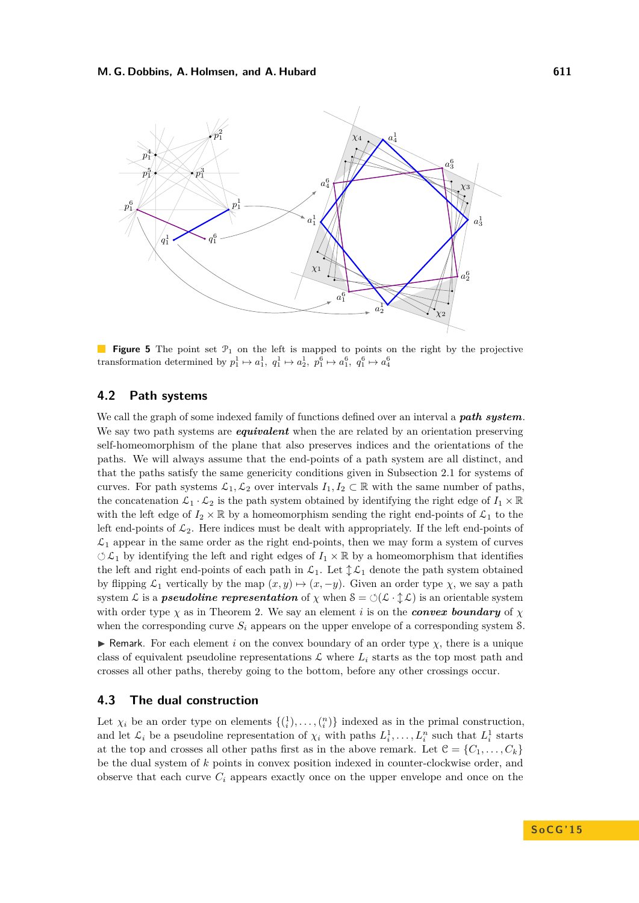<span id="page-12-0"></span>

**Figure 5** The point set  $\mathcal{P}_1$  on the left is mapped to points on the right by the projective transformation determined by  $p_1^1 \mapsto a_1^1$ ,  $q_1^1 \mapsto a_2^1$ ,  $p_1^6 \mapsto a_1^6$ ,  $q_1^6 \mapsto a_4^6$ 

# **4.2 Path systems**

We call the graph of some indexed family of functions defined over an interval a *path system*. We say two path systems are *equivalent* when the are related by an orientation preserving self-homeomorphism of the plane that also preserves indices and the orientations of the paths. We will always assume that the end-points of a path system are all distinct, and that the paths satisfy the same genericity conditions given in Subsection [2.1](#page-5-1) for systems of curves. For path systems  $\mathcal{L}_1, \mathcal{L}_2$  over intervals  $I_1, I_2 \subset \mathbb{R}$  with the same number of paths, the concatenation  $\mathcal{L}_1 \cdot \mathcal{L}_2$  is the path system obtained by identifying the right edge of  $I_1 \times \mathbb{R}$ with the left edge of  $I_2 \times \mathbb{R}$  by a homeomorphism sending the right end-points of  $\mathcal{L}_1$  to the left end-points of  $\mathcal{L}_2$ . Here indices must be dealt with appropriately. If the left end-points of  $\mathcal{L}_1$  appear in the same order as the right end-points, then we may form a system of curves  $\circlearrowleft \mathcal{L}_1$  by identifying the left and right edges of  $I_1 \times \mathbb{R}$  by a homeomorphism that identifies the left and right end-points of each path in  $\mathcal{L}_1$ . Let  $\updownarrow \mathcal{L}_1$  denote the path system obtained by flipping  $\mathcal{L}_1$  vertically by the map  $(x, y) \mapsto (x, -y)$ . Given an order type  $\chi$ , we say a path system L is a *pseudoline representation* of  $\chi$  when  $S = \circlearrowleft(\mathcal{L} \cdot \mathcal{L})$  is an orientable system with order type  $\chi$  as in Theorem [2.](#page-3-1) We say an element *i* is on the *convex boundary* of  $\chi$ when the corresponding curve  $S_i$  appears on the upper envelope of a corresponding system  $S_i$ .

**F** Remark. For each element *i* on the convex boundary of an order type  $\chi$ , there is a unique class of equivalent pseudoline representations  $\mathcal L$  where  $L_i$  starts as the top most path and crosses all other paths, thereby going to the bottom, before any other crossings occur.

# **4.3 The dual construction**

Let  $\chi_i$  be an order type on elements  $\{\binom{1}{i}, \ldots, \binom{n}{i}\}$  indexed as in the primal construction, and let  $\mathcal{L}_i$  be a pseudoline representation of  $\chi_i$  with paths  $L_i^1, \ldots, L_i^n$  such that  $L_i^1$  starts at the top and crosses all other paths first as in the above remark. Let  $\mathcal{C} = \{C_1, \ldots, C_k\}$ be the dual system of *k* points in convex position indexed in counter-clockwise order, and observe that each curve  $C_i$  appears exactly once on the upper envelope and once on the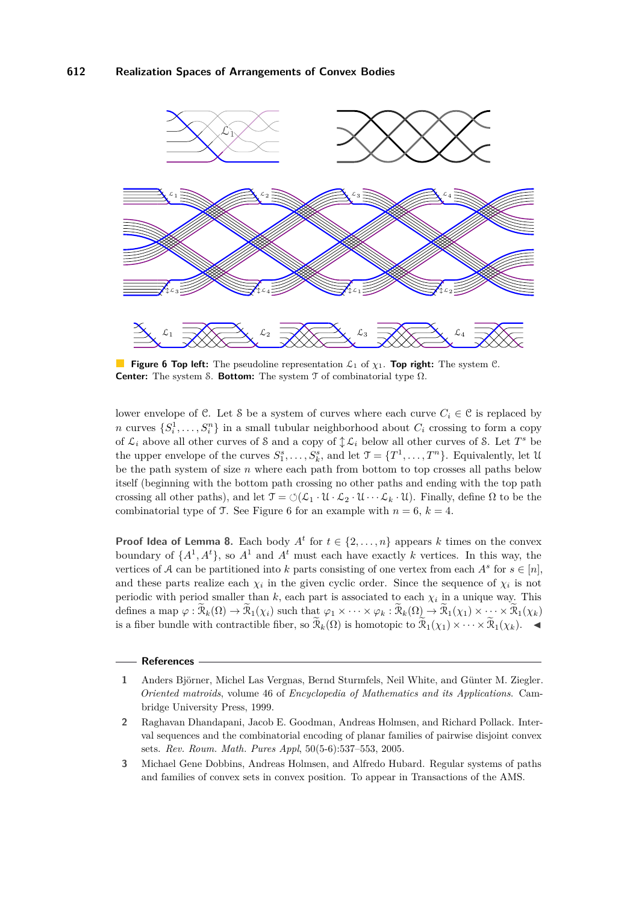<span id="page-13-3"></span>

**Figure 6 Top left:** The pseudoline representation  $\mathcal{L}_1$  of  $\chi_1$ . **Top right:** The system C. **Center:** The system S. **Bottom:** The system T of combinatorial type Ω.

lower envelope of C. Let S be a system of curves where each curve  $C_i \in \mathcal{C}$  is replaced by *n* curves  $\{S_i^1, \ldots, S_i^n\}$  in a small tubular neighborhood about  $C_i$  crossing to form a copy of  $\mathcal{L}_i$  above all other curves of S and a copy of  $\mathcal{L}_i$  below all other curves of S. Let  $T^s$  be the upper envelope of the curves  $S_1^s, \ldots, S_k^s$ , and let  $\mathcal{T} = \{T^1, \ldots, T^n\}$ . Equivalently, let U be the path system of size *n* where each path from bottom to top crosses all paths below itself (beginning with the bottom path crossing no other paths and ending with the top path crossing all other paths), and let  $\mathcal{T} = \circlearrowleft(\mathcal{L}_1 \cdot \mathcal{U} \cdot \mathcal{L}_2 \cdot \mathcal{U} \cdots \mathcal{L}_k \cdot \mathcal{U})$ . Finally, define  $\Omega$  to be the combinatorial type of T. See Figure [6](#page-13-3) for an example with  $n = 6$ ,  $k = 4$ .

**Proof Idea of Lemma [8.](#page-11-0)** Each body  $A^t$  for  $t \in \{2, ..., n\}$  appears *k* times on the convex boundary of  $\{A^1, A^t\}$ , so  $A^1$  and  $A^t$  must each have exactly *k* vertices. In this way, the vertices of A can be partitioned into k parts consisting of one vertex from each  $A^s$  for  $s \in [n]$ , and these parts realize each  $\chi_i$  in the given cyclic order. Since the sequence of  $\chi_i$  is not periodic with period smaller than  $k$ , each part is associated to each  $\chi_i$  in a unique way. This defines a map  $\varphi : \mathcal{R}_k(\Omega) \to \mathcal{R}_1(\chi_i)$  such that  $\varphi_1 \times \cdots \times \varphi_k : \mathcal{R}_k(\Omega) \to \mathcal{R}_1(\chi_1) \times \cdots \times \mathcal{R}_1(\chi_k)$ is a fiber bundle with contractible fiber, so  $\widetilde{\mathcal{R}}_k(\Omega)$  is homotopic to  $\widetilde{\mathcal{R}}_1(\chi_1) \times \cdots \times \widetilde{\mathcal{R}}_1(\chi_k)$ .

#### **References**

<span id="page-13-1"></span>**3** Michael Gene Dobbins, Andreas Holmsen, and Alfredo Hubard. Regular systems of paths and families of convex sets in convex position. To appear in Transactions of the AMS.

<span id="page-13-2"></span>**<sup>1</sup>** Anders Björner, Michel Las Vergnas, Bernd Sturmfels, Neil White, and Günter M. Ziegler. *Oriented matroids*, volume 46 of *Encyclopedia of Mathematics and its Applications*. Cambridge University Press, 1999.

<span id="page-13-0"></span>**<sup>2</sup>** Raghavan Dhandapani, Jacob E. Goodman, Andreas Holmsen, and Richard Pollack. Interval sequences and the combinatorial encoding of planar families of pairwise disjoint convex sets. *Rev. Roum. Math. Pures Appl*, 50(5-6):537–553, 2005.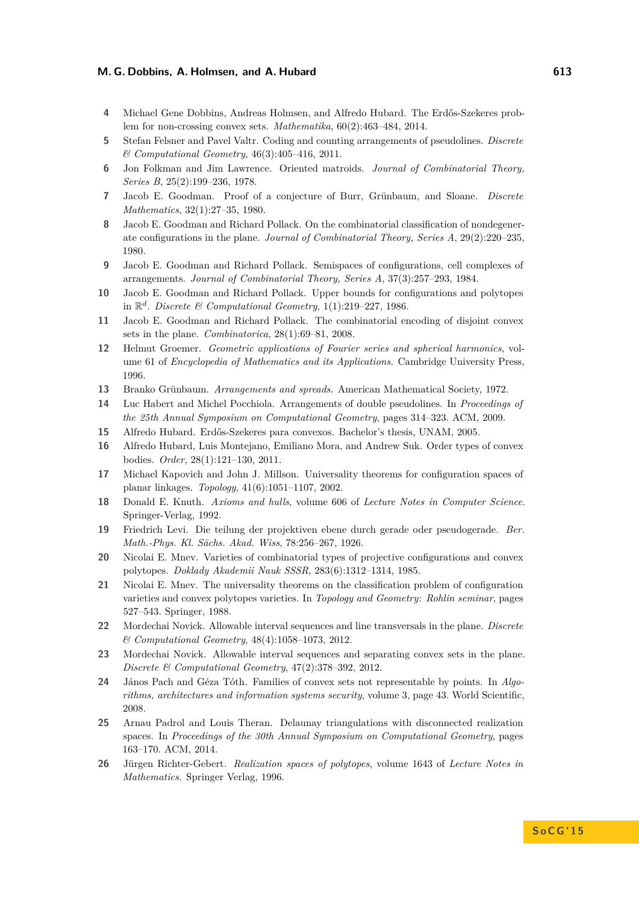- <span id="page-14-7"></span>**4** Michael Gene Dobbins, Andreas Holmsen, and Alfredo Hubard. The Erdős-Szekeres problem for non-crossing convex sets. *Mathematika*, 60(2):463–484, 2014.
- <span id="page-14-17"></span>**5** Stefan Felsner and Pavel Valtr. Coding and counting arrangements of pseudolines. *Discrete & Computational Geometry*, 46(3):405–416, 2011.
- <span id="page-14-14"></span>**6** Jon Folkman and Jim Lawrence. Oriented matroids. *Journal of Combinatorial Theory, Series B*, 25(2):199–236, 1978.
- <span id="page-14-0"></span>**7** Jacob E. Goodman. Proof of a conjecture of Burr, Grünbaum, and Sloane. *Discrete Mathematics*, 32(1):27–35, 1980.
- <span id="page-14-13"></span>**8** Jacob E. Goodman and Richard Pollack. On the combinatorial classification of nondegenerate configurations in the plane. *Journal of Combinatorial Theory, Series A*, 29(2):220–235, 1980.
- <span id="page-14-15"></span>**9** Jacob E. Goodman and Richard Pollack. Semispaces of configurations, cell complexes of arrangements. *Journal of Combinatorial Theory, Series A*, 37(3):257–293, 1984.
- <span id="page-14-16"></span>**10** Jacob E. Goodman and Richard Pollack. Upper bounds for configurations and polytopes in  $\mathbb{R}^d$ . *Discrete & Computational Geometry*, 1(1):219–227, 1986.
- <span id="page-14-3"></span>**11** Jacob E. Goodman and Richard Pollack. The combinatorial encoding of disjoint convex sets in the plane. *Combinatorica*, 28(1):69–81, 2008.
- <span id="page-14-8"></span>**12** Helmut Groemer. *Geometric applications of Fourier series and spherical harmonics*, volume 61 of *Encyclopedia of Mathematics and its Applications*. Cambridge University Press, 1996.
- <span id="page-14-9"></span>**13** Branko Grünbaum. *Arrangements and spreads*. American Mathematical Society, 1972.
- <span id="page-14-2"></span>**14** Luc Habert and Michel Pocchiola. Arrangements of double pseudolines. In *Proceedings of the 25th Annual Symposium on Computational Geometry*, pages 314–323. ACM, 2009.
- <span id="page-14-10"></span>**15** Alfredo Hubard. Erdős-Szekeres para convexos. Bachelor's thesis, UNAM, 2005.
- <span id="page-14-6"></span>**16** Alfredo Hubard, Luis Montejano, Emiliano Mora, and Andrew Suk. Order types of convex bodies. *Order*, 28(1):121–130, 2011.
- <span id="page-14-20"></span>**17** Michael Kapovich and John J. Millson. Universality theorems for configuration spaces of planar linkages. *Topology*, 41(6):1051–1107, 2002.
- <span id="page-14-1"></span>**18** Donald E. Knuth. *Axioms and hulls*, volume 606 of *Lecture Notes in Computer Science*. Springer-Verlag, 1992.
- <span id="page-14-11"></span>**19** Friedrich Levi. Die teilung der projektiven ebene durch gerade oder pseudogerade. *Ber. Math.-Phys. Kl. Sächs. Akad. Wiss*, 78:256–267, 1926.
- <span id="page-14-18"></span>**20** Nicolai E. Mnev. Varieties of combinatorial types of projective configurations and convex polytopes. *Doklady Akademii Nauk SSSR*, 283(6):1312–1314, 1985.
- <span id="page-14-19"></span>**21** Nicolai E. Mnev. The universality theorems on the classification problem of configuration varieties and convex polytopes varieties. In *Topology and Geometry: Rohlin seminar*, pages 527–543. Springer, 1988.
- <span id="page-14-5"></span>**22** Mordechai Novick. Allowable interval sequences and line transversals in the plane. *Discrete & Computational Geometry*, 48(4):1058–1073, 2012.
- <span id="page-14-4"></span>**23** Mordechai Novick. Allowable interval sequences and separating convex sets in the plane. *Discrete & Computational Geometry*, 47(2):378–392, 2012.
- <span id="page-14-12"></span>**24** János Pach and Géza Tóth. Families of convex sets not representable by points. In *Algorithms, architectures and information systems security*, volume 3, page 43. World Scientific, 2008.
- <span id="page-14-21"></span>**25** Arnau Padrol and Louis Theran. Delaunay triangulations with disconnected realization spaces. In *Proceedings of the 30th Annual Symposium on Computational Geometry*, pages 163–170. ACM, 2014.
- <span id="page-14-22"></span>**26** Jürgen Richter-Gebert. *Realization spaces of polytopes*, volume 1643 of *Lecture Notes in Mathematics*. Springer Verlag, 1996.